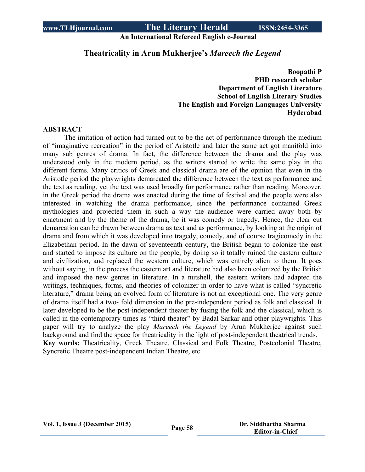**An International Refereed English e-Journal**

## **Theatricality in Arun Mukherjee's** *Mareech the Legend*

**Boopathi P PHD research scholar Department of English Literature School of English Literary Studies The English and Foreign Languages University Hyderabad**

#### **ABSTRACT**

The imitation of action had turned out to be the act of performance through the medium of "imaginative recreation" in the period of Aristotle and later the same act got manifold into many sub genres of drama. In fact, the difference between the drama and the play was understood only in the modern period, as the writers started to write the same play in the different forms. Many critics of Greek and classical drama are of the opinion that even in the Aristotle period the playwrights demarcated the difference between the text as performance and the text as reading, yet the text was used broadly for performance rather than reading. Moreover, in the Greek period the drama was enacted during the time of festival and the people were also interested in watching the drama performance, since the performance contained Greek mythologies and projected them in such a way the audience were carried away both by enactment and by the theme of the drama, be it was comedy or tragedy. Hence, the clear cut demarcation can be drawn between drama as text and as performance, by looking at the origin of drama and from which it was developed into tragedy, comedy, and of course tragicomedy in the Elizabethan period. In the dawn of seventeenth century, the British began to colonize the east and started to impose its culture on the people, by doing so it totally ruined the eastern culture and civilization, and replaced the western culture, which was entirely alien to them. It goes without saying, in the process the eastern art and literature had also been colonized by the British and imposed the new genres in literature. In a nutshell, the eastern writers had adapted the writings, techniques, forms, and theories of colonizer in order to have what is called "syncretic literature," drama being an evolved form of literature is not an exceptional one. The very genre of drama itself had a two- fold dimension in the pre-independent period as folk and classical. It later developed to be the post-independent theater by fusing the folk and the classical, which is called in the contemporary times as "third theater" by Badal Sarkar and other playwrights. This paper will try to analyze the play *Mareech the Legend* by Arun Mukherjee against such background and find the space for theatricality in the light of post-independent theatrical trends. **Key words:** Theatricality, Greek Theatre, Classical and Folk Theatre, Postcolonial Theatre, Syncretic Theatre post-independent Indian Theatre, etc.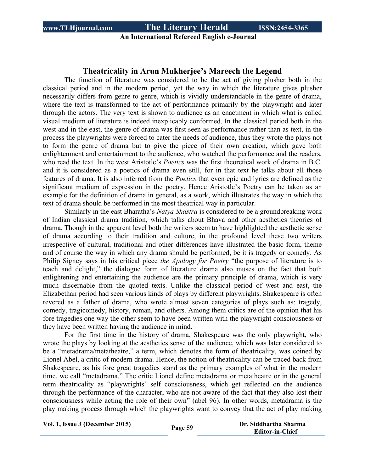### **An International Refereed English e-Journal**

#### **Theatricality in Arun Mukherjee's Mareech the Legend**

The function of literature was considered to be the act of giving plusher both in the classical period and in the modern period, yet the way in which the literature gives plusher necessarily differs from genre to genre, which is vividly understandable in the genre of drama, where the text is transformed to the act of performance primarily by the playwright and later through the actors. The very text is shown to audience as an enactment in which what is called visual medium of literature is indeed inexplicably conformed. In the classical period both in the west and in the east, the genre of drama was first seen as performance rather than as text, in the process the playwrights were forced to cater the needs of audience, thus they wrote the plays not to form the genre of drama but to give the piece of their own creation, which gave both enlightenment and entertainment to the audience, who watched the performance and the readers, who read the text. In the west Aristotle's *Poetics* was the first theoretical work of drama in B.C. and it is considered as a poetics of drama even still, for in that text he talks about all those features of drama. It is also inferred from the *Poetics* that even epic and lyrics are defined as the significant medium of expression in the poetry. Hence Aristotle's Poetry can be taken as an example for the definition of drama in general, as a work, which illustrates the way in which the text of drama should be performed in the most theatrical way in particular.

Similarly in the east Bharatha's *Natya Shastra* is considered to be a groundbreaking work of Indian classical drama tradition, which talks about Bhava and other aesthetics theories of drama. Though in the apparent level both the writers seem to have highlighted the aesthetic sense of drama according to their tradition and culture, in the profound level these two writers irrespective of cultural, traditional and other differences have illustrated the basic form, theme and of course the way in which any drama should be performed, be it is tragedy or comedy. As Philip Signey says in his critical piece *the Apology for Poetry* "the purpose of literature is to teach and delight," the dialogue form of literature drama also muses on the fact that both enlightening and entertaining the audience are the primary principle of drama, which is very much discernable from the quoted texts. Unlike the classical period of west and east, the Elizabethan period had seen various kinds of plays by different playwrights. Shakespeare is often revered as a father of drama, who wrote almost seven categories of plays such as: tragedy, comedy, tragicomedy, history, roman, and others. Among them critics are of the opinion that his fore tragedies one way the other seem to have been written with the playwright consciousness or they have been written having the audience in mind.

For the first time in the history of drama, Shakespeare was the only playwright, who wrote the plays by looking at the aesthetics sense of the audience, which was later considered to be a "metadrama/metatheatre," a term, which denotes the form of theatricality, was coined by Lionel Abel, a critic of modern drama. Hence, the notion of theatricality can be traced back from Shakespeare, as his fore great tragedies stand as the primary examples of what in the modern time, we call "metadrama." The critic Lionel define metadrama or metatheatre or in the general term theatricality as "playwrights' self consciousness, which get reflected on the audience through the performance of the character, who are not aware of the fact that they also lost their consciousness while acting the role of their own" (abel 96). In other words, metadrama is the play making process through which the playwrights want to convey that the act of play making

**Vol. 1, Issue <sup>3</sup> (December 2015) Page <sup>59</sup> Dr. Siddhartha Sharma**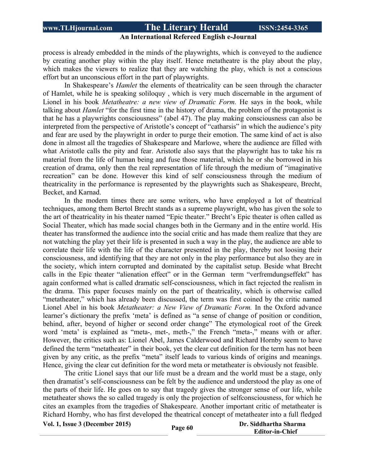#### **An International Refereed English e-Journal**

process is already embedded in the minds of the playwrights, which is conveyed to the audience by creating another play within the play itself. Hence metatheatre is the play about the play, which makes the viewers to realize that they are watching the play, which is not a conscious effort but an unconscious effort in the part of playwrights.

In Shakespeare's *Hamlet* the elements of theatricality can be seen through the character of Hamlet, while he is speaking soliloquy , which is very much discernable in the argument of Lionel in his book *Metatheatre: a new view of Dramatic Form.* He says in the book, while talking about *Hamlet* "for the first time in the history of drama, the problem of the protagonist is that he has a playwrights consciousness" (abel 47). The play making consciousness can also be interpreted from the perspective of Aristotle's concept of "catharsis" in which the audience's pity and fear are used by the playwright in order to purge their emotion. The same kind of act is also done in almost all the tragedies of Shakespeare and Marlowe, where the audience are filled with what Aristotle calls the pity and fear. Aristotle also says that the playwright has to take his ra material from the life of human being and fuse those material, which he or she borrowed in his creation of drama, only then the real representation of life through the medium of "imaginative recreation" can be done. However this kind of self consciousness through the medium of theatricality in the performance is represented by the playwrights such as Shakespeare, Brecht, Becket, and Karnad.

In the modern times there are some writers, who have employed a lot of theatrical techniques, among them Bertol Brecht stands as a supreme playwright, who has given the sole to the art of theatricality in his theater named "Epic theater." Brecht's Epic theater is often called as Social Theater, which has made social changes both in the Germany and in the entire world. His theater has transformed the audience into the social critic and has made them realize that they are not watching the play yet their life is presented in such a way in the play, the audience are able to correlate their life with the life of the character presented in the play, thereby not loosing their consciousness, and identifying that they are not only in the play performance but also they are in the society, which intern corrupted and dominated by the capitalist setup. Beside what Brecht calls in the Epic theater "alienation effect" or in the German term "verfremdungseffekt" has again conformed what is called dramatic self-consciousness, which in fact rejected the realism in the drama. This paper focuses mainly on the part of theatricality, which is otherwise called "metatheater," which has already been discussed, the term was first coined by the critic named Lionel Abel in his book *Metatheater: a New View of Dramatic Form.* In the Oxford advance learner's dictionary the prefix 'meta' is defined as "a sense of change of position or condition, behind, after, beyond of higher or second order change" The etymological root of the Greek word 'meta' is explained as "meta-, met-, meth-," the French "meta-," means with or after. However, the critics such as: Lionel Abel, James Calderwood and Richard Hornby seem to have defined the term "metatheater" in their book, yet the clear cut definition for the term has not been given by any critic, as the prefix "meta" itself leads to various kinds of origins and meanings. Hence, giving the clear cut definition for the word meta or metatheater is obviously not feasible.

The critic Lionel says that our life must be a dream and the world must be a stage, only then dramatist's self-consciousness can be felt by the audience and understood the play as one of the parts of their life. He goes on to say that tragedy gives the stronger sense of our life, while metatheater shows the so called tragedy is only the projection of selfconsciousness, for which he cites an examples from the tragedies of Shakespeare. Another important critic of metatheater is Richard Hornby, who has first developed the theatrical concept of metatheater into a full fledged

**Vol.** 1, Issue 3 (December 2015) **Page** 60 **Dr.** Siddhartha Sharma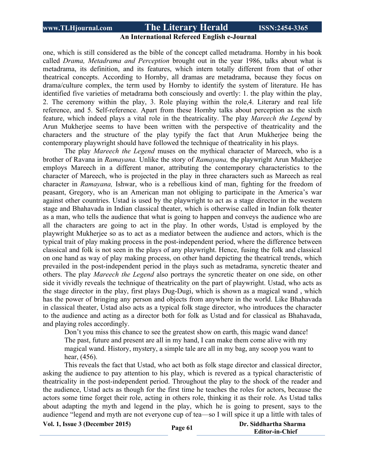#### **An International Refereed English e-Journal**

one, which is still considered as the bible of the concept called metadrama. Hornby in his book called *Drama, Metadrama and Perception* brought out in the year 1986, talks about what is metadrama, its definition, and its features, which intern totally different from that of other theatrical concepts. According to Hornby, all dramas are metadrama, because they focus on drama/culture complex, the term used by Hornby to identify the system of literature. He has identified five varieties of metadrama both consciously and overtly: 1. the play within the play, 2. The ceremony within the play, 3. Role playing within the role,4. Literary and real life reference, and 5. Self-reference. Apart from these Hornby talks about perception as the sixth feature, which indeed plays a vital role in the theatricality. The play *Mareech the Legend* by Arun Mukherjee seems to have been written with the perspective of theatricality and the characters and the structure of the play typify the fact that Arun Mukherjee being the contemporary playwright should have followed the technique of theatricality in his plays.

The play *Mareech the Legend* muses on the mythical character of Mareech, who is a brother of Ravana in *Ramayana.* Unlike the story of *Ramayana,* the playwright Arun Mukherjee employs Mareech in a different manor, attributing the contemporary characteristics to the character of Mareech, who is projected in the play in three characters such as Mareech as real character in *Ramayana,* Ishwar, who is a rebellious kind of man, fighting for the freedom of peasant, Gregory, who is an American man not obliging to participate in the America's war against other countries. Ustad is used by the playwright to act as a stage director in the western stage and Bhahavada in Indian classical theater, which is otherwise called in Indian folk theater as a man, who tells the audience that what is going to happen and conveys the audience who are all the characters are going to act in the play. In other words, Ustad is employed by the playwright Mukherjee so as to act as a mediator between the audience and actors, which is the typical trait of play making process in the post-independent period, where the difference between classical and folk is not seen in the plays of any playwright. Hence, fusing the folk and classical on one hand as way of play making process, on other hand depicting the theatrical trends, which prevailed in the post-independent period in the plays such as metadrama, syncretic theater and others. The play *Mareech the Legend* also portrays the syncretic theater on one side, on other side it vividly reveals the technique of theatricality on the part of playwright. Ustad, who acts as the stage director in the play, first plays Dug-Dugi, which is shown as a magical wand , which has the power of bringing any person and objects from anywhere in the world. Like Bhahavada in classical theater, Ustad also acts as a typical folk stage director, who introduces the character to the audience and acting as a director both for folk as Ustad and for classical as Bhahavada, and playing roles accordingly.

Don't you miss this chance to see the greatest show on earth, this magic wand dance! The past, future and present are all in my hand, I can make them come alive with my magical wand. History, mystery, a simple tale are all in my bag, any scoop you want to hear, (456).

This reveals the fact that Ustad, who act both as folk stage director and classical director, asking the audience to pay attention to his play, which is revered as a typical characteristic of theatricality in the post-independent period. Throughout the play to the shock of the reader and the audience, Ustad acts as though for the first time he teaches the roles for actors, because the actors some time forget their role, acting in others role, thinking it as their role. As Ustad talks about adapting the myth and legend in the play, which he is going to present, says to the audience "legend and myth are not everyone cup of tea—so I will spice it up a little with tales of

**Vol. 1, Issue <sup>3</sup> (December 2015) Page <sup>61</sup> Dr. Siddhartha Sharma**

**Editor-in-Chief**